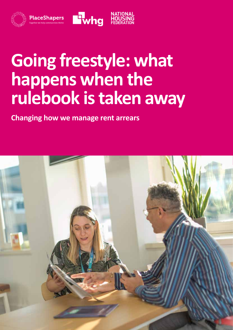

## **Going freestyle: what happens when the rulebook is taken away**

**Changing how we manage rent arrears**

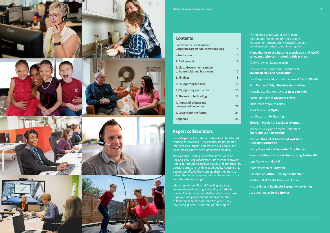

Changing how we manage rent arrears **3**

#### **Report collaborators**

PlaceShapers is the national network of place-based housing associations. They collaborate for greater influence and impact, and work to put people and place-making at the heart of decision making.

The National Housing Federation is the voice of England's housing associations. Its members provide homes for around six million people and are driven by a social purpose: providing good quality housing that people can afford. They support their members to deliver that social purpose, with ambitious work that leads to positive change.

whg is one of the Midlands' leading and most successful providers of good quality, affordable homes. The Association is dedicated to the success of people and places and has been a member of PlaceShapers for more than ten years. They have been generous sponsors of this project.

- The steering group would like to thank the National Federation of Arm's Length Management Organisations (ALMOs), whose members contributed to our investigation.
- **Many thanks to the housing association and ALMO colleagues who contributed to this project:**
- Tansy Crowley-Sweet at **whg**
- Jess Smith and Laurinda Hornblow at **Sovereign Housing Association**
- Les Marjoram and Laura Anderson at **Saxon Weald**
- Sam Dunne at **Teign Housing Association**
- Natasha Stanley-Andrews at **Roseberry HA**
- Rachel Bennett at **Magenta Living**
- Chris Parks at **South Lakes**
- Mark Walker at **Optivo**
- Ian Clutton at **PA Housing**
- Christian Hartley at **Stockport Homes**
- Michelle Birley and Stacey Holleran at **The Guinness Partnership**
- Michael Driscoll at **Leeds and Yorkshire Housing Association**
- Becky Hayward at **Gloucester City Homes**
- Wendy Walker at **Lincolnshire Housing Partnership**
- Jane Wallwin at **GUHG**
- Matt Newman at **Together**
- Lisa Buss at **Sutton Housing Partnership**
- Martin Gill at **South Tyneside Homes**
- Nicola Flynn at **Rochdale Boroughwide Homes**
- Jaz Sanghera at **Derby Homes**

#### **Contents**

| <b>Foreword by Fay Shanahan</b>             |    |
|---------------------------------------------|----|
| <b>Corporate Director of Operations whg</b> | 4  |
| <b>Introduction</b>                         | 5  |
| 1. Background                               | 6  |
| <b>Table 1: Government support</b>          |    |
| to households and businesses                | 7  |
| 2. Findings                                 | 8  |
| <b>2.1 Supporting tenants</b>               | 10 |
| 2.2 Supporting each other                   | 16 |
| 3. The role of technology                   | 19 |
| 4. Impact of change and                     |    |
| unexpected outcomes                         | 22 |
| 5. Lessons for the future                   | 24 |
| <b>Appendix</b>                             | 26 |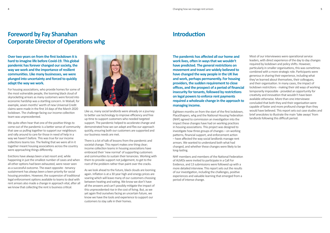**Over two years on from the first lockdown it is hard to imagine life before Covid-19. This global pandemic has forever changed our society, the way we work and the importance of resilient communities. Like many businesses, we were plunged into uncertainty and forced to quickly adapt the way we work.** 

For housing associations, who provide homes for some of the most vulnerable people, the looming black cloud of skyrocketing arrears as many customers were forced into economic hardship was a startling concern. In Walsall, for example, seven months' worth of new Universal Credit claims were made in the first 14 days of the March 2020 lockdown. The challenge facing our income collection team was unprecedented.

We quite often hear that one of the positive things to come out of the pandemic is a better sense of community that saw us pulling together to support our neighbours and rally around to care for those in need of help in a way we haven't before. This was true for our income collections teams too. The feeling that we were all in it together meant housing associations across the country were approaching things differently.

Evictions have always been a last resort and, while happening in just the smallest number of cases and when all other options had been exhausted, were never seen as a successful outcome. The exact opposite - tenancy sustainment has always been a keen priority for social housing providers. However, the suspension of traditional legal enforcement options available to teams to deal with rent arrears also made a change in approach vital, after all we know that collecting the rent is business critical.



Like us, many social landlords were already on a journey to better use technology to improve efficiency and free up time to support customers who needed targeted support. The pandemic helped to accelerate change and demonstrated how we can adapt and flex our approach quickly, ensuring both our customers are supported and our business needs are met.

There is a lot of talk of lessons from the pandemic and societal change. This report makes one thing clear; income collection teams in housing associations have embraced their 'new normal' of supporting customers and communities to sustain their tenancies. Working with them to provide support not judgement, to get to the root of the problem rather than paint over the cracks.

As we look ahead to the future, black clouds are looming again. Inflation is at a 30 year high and energy prices are soaring which will leave many of our customers choosing between heating and eating. We know we don't have all the answers and can't possibly mitigate the impact of this unprecedented rise in the cost of living. But, as we yet again find ourselves facing an uncertain future, we know we have the tools and experience to support our customers to stay safe in their homes.

## **Foreword by Fay Shanahan Corporate Director of Operations whg**

**The pandemic has affected all our home and work lives, often in ways that we wouldn't have predicted. The general restrictions on movement and travel are widely believed to have changed the way people in the UK live and work, perhaps permanently. For housing providers, the sudden requirement to close offices, and the prospect of a period of financial insecurity for tenants, followed by restrictions on legal powers to enforce rent payments required a wholesale change in the approach to managing income.**

Eighteen months on from the start of the first lockdown, PlaceShapers, whg and the National Housing Federation (NHF) agreed to commission an investigation into the impact these changes have had on working practices in housing associations. This project was designed to investigate how three groups of changes – on working patterns, financial support, and enforcement action – have affected the way social landlords manage rent arrears. We wanted to understand both what had changed, and whether these changes were likely to be long-lasting.

NHF members and members of the National Federation of ALMOs were invited to participate in a Call For Evidence, and 13 submissions were followed up with a more detailed interview. This report sets out the results of our investigation, including the challenges, positive experiences and valuable learning that emerged from a period of intense change.

Most of our interviewees were operational service leaders, with direct experience of the day to day changes required by lockdown and policy shifts. However, particularly in smaller organisations, this was sometimes combined with a more strategic role. Participants were generous in sharing their experience, including what they've learned about themselves, their colleagues, and their organisation. In many cases, the impact of lockdown restrictions - making their old ways of working temporarily impossible - provided an opportunity for creativity and innovation that wouldn't have been available otherwise. More than one interviewee concluded that both they and their organisation were capable of faster and more profound change than they would have believed. This report sets out case studies and brief anecdotes to illustrate the main 'take aways' from landlords following this difficult period.

### **Introduction**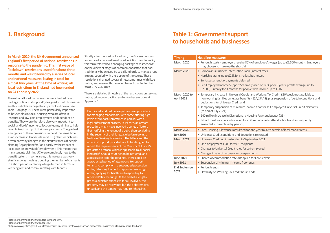**In March 2020, the UK Government announced England's first period of national restrictions in response to the pandemic. This first wave of 'lockdown' restrictions lasted for about three months and was followed by a series of local and national measures lasting in total for almost two years. At the time of writing, all legal restrictions in England had been ended on 24 February 2022.** 

The national lockdown measures were backed by a package of financial support<sup>1</sup>, designed to help businesses and households manage the impact of lockdown (see Table 1 on page 7). These were particularly important to households in social housing, who are often in insecure and low-paid employment or dependent on benefits. They were therefore also very important to social landlords' income collection teams, aiming to help tenants keep on top of their rent payments. The gradual emergence of these provisions came at the same time as an increase in Universal Credit (UC) claims which was driven partly by changes in the circumstances of people claiming 'legacy benefits,' and partly by the impact of lockdown on individuals' employment. This meant that many tenants claiming UC were completely new to the benefit system. In some areas, this increase was very significant – as much as doubling the number of claimants in a short period – creating a huge burden in terms of verifying rent and communicating with tenants.

Shortly after the start of lockdown, the Government also announced a nationally-enforced 'eviction ban'. In reality this term referred to a changing package of restrictions<sup>2</sup> on the different stages of enforcement action that had traditionally been used by social landlords to manage rent arrears, coupled with the closure of the courts. These restrictions changed several times, sometimes with little notice, and were withdrawn in phases from September 2020 to March 2022.

There is a detailed timetable of the restrictions on serving notice, taking court action and enforcing evictions at Appendix 1.

## **1. Background**

Each social landlord develops their own procedure for managing rent arrears, with some offering high levels of support, sometimes in parallel with a legal enforcement process. At its core, an arrears procedure might have involved a series of letters first notifying the tenant of a debt, then escalating in the severity of their language before serving a Notice of Seeking Possession. The letters and the advice or support provided would be designed to reflect the requirements of the Ministry of Justice's pre-action protocol which is applicable to all social landlords<sup>3</sup>. Should court action be required, and a possession order be obtained, there could be a protracted period of attempting to support tenants to comply with a suspended possession order; returning to court to apply for an outright order; applying for bailiffs and responding to repeated 'stay' hearings. At the end of a lengthy process, which is expensive for all involved, the property may be recovered but the debt remains unpaid, and the tenant may require rehousing.

1 House of Commons Briefing Papers 8894 and 8973

2 House of Commons Briefing Paper 8867

3 https://www.justice.gov.uk/courts/procedure-rules/civil/protocol/pre-action-protocol-for-possession-claims-by-social-landlords

| <b>Timing</b>                      | <b>Headline measures</b>                                                                                                                                                                                                                |  |  |  |
|------------------------------------|-----------------------------------------------------------------------------------------------------------------------------------------------------------------------------------------------------------------------------------------|--|--|--|
| <b>March 2020</b>                  | • Furlough starts - employers receive 80% of employee's wages (up to £2,500/month). Employers<br>may choose to make up the shortfall                                                                                                    |  |  |  |
| <b>March 2020</b>                  | • Coronavirus Business Interruption Loan (interest free)                                                                                                                                                                                |  |  |  |
|                                    | Hardship grants up to £25k for smallest businesses<br>$\bullet$                                                                                                                                                                         |  |  |  |
|                                    | Self-assessment tax payments deferred<br>$\bullet$                                                                                                                                                                                      |  |  |  |
|                                    | Self-Employed Income Support Scheme (based on 80% prior 3 years' profits average, up to<br>$\bullet$<br>£2,500) - initially for 3 months for people with income up to £50k                                                              |  |  |  |
| March 2020 to<br><b>April 2021</b> | • Temporary increase in Universal Credit (and Working Tax Credit) £20/week (not available to<br>non-working families on legacy benefits - ESA/JSA/IS), plus suspension of certain conditions and<br>deductions for Universal Credit and |  |  |  |
|                                    | • Temporary suspension of minimum income floor for self-employed Universal Credit claimants<br>(to end of July 2021)                                                                                                                    |  |  |  |
|                                    | • £40 million increase in Discretionary Housing Payment budget (GB)                                                                                                                                                                     |  |  |  |
|                                    | • School meal vouchers introduced for children unable to attend school (and subsequently<br>amended to cover holiday periods)                                                                                                           |  |  |  |
| <b>March 2020</b>                  | • Local Housing Allowance rates lifted for one year to 30th centile of local market rents                                                                                                                                               |  |  |  |
| <b>July 2020</b>                   | • Universal Credit conditions and deductions reinstated                                                                                                                                                                                 |  |  |  |
| <b>March 2021</b>                  | • Universal Credit uplift extended to September 2021                                                                                                                                                                                    |  |  |  |
|                                    | • One-off payment £500 for WTC recipients                                                                                                                                                                                               |  |  |  |
|                                    | Changes to Universal Credit rules for self-employed                                                                                                                                                                                     |  |  |  |
|                                    | • Changes in rate of recovery for overpayments                                                                                                                                                                                          |  |  |  |
| <b>June 2021</b>                   | • Shared Accommodation rate disapplied for Care leavers                                                                                                                                                                                 |  |  |  |
| <b>July 2021</b>                   | • Suspension of minimum income floor ends                                                                                                                                                                                               |  |  |  |
| <b>End September</b>               | • Furlough ends                                                                                                                                                                                                                         |  |  |  |
| 2021                               | • Flexibility on Working Tax Credit hours ends                                                                                                                                                                                          |  |  |  |

## **Table 1: Government support to households and businesses**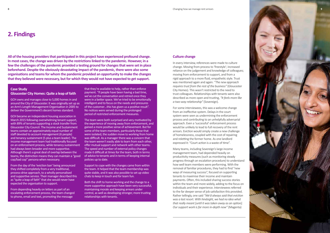**All of the housing providers that participated in this project have experienced profound change. In most cases, the change was driven by the restrictions linked to the pandemic. However, in a few the challenges of the pandemic provided a testing ground for changes that were set in place beforehand. Despite the obviously devastating impact of the pandemic, there were also some organisations and teams for whom the pandemic provided an opportunity to make the changes that they believed were necessary, but for which they would not have expected to get support.** 

### **2. Findings**

#### **Case Study Gloucester City Homes: Quite a leap of faith**

GCH owns and manages close to 5,000 homes in and around the City of Gloucester. It was originally set up as an Arm's Length Management Organisation in 2005 to deliver the Government's decent homes standard.

GCH became an independent housing association in March 2015 following overwhelming tenant support, with 89% of tenants supporting a stock transfer from Gloucester City Council. The Income and Sustainment teams contain an approximately equal number of staff devoted to account management (6 people) and tenancy sustainment (5 plus a team leader). The income management team had traditionally focused on an enforcement process, while tenancy sustainment had always been broader and more supportive. Although there's a great deal of overlap between the teams, the distinction means they can maintain a "good cop/bad cop" persona when necessary.

From the day of the 'eviction ban' being announced they shifted completely from a very traditional, process-drive approach, to a wholly personalised and supportive service. Their manager described this as "quite a leap of faith" that she would never have expected the organisation to support.

From depending heavily on letters as part of an escalating enforcement process, the team changed to phone, email and text, promoting the message

that they're available to help, rather than enforce payment. "If people have been having a bad time, we've cut the conversation and retried once they were in a better space. We've tried to be emotionally intelligent and to focus on the needs and pressures of the customer…this has given us a positive result". No notices were served during the prolonged period of restricted enforcement measures.

The team were both surprised and very motivated by the experience of moving away from enforcement, and gained a more positive sense of achievement. But for some of the team members, particularly those that were isolated, the sudden move to working from home was difficult. As a manager there was a concern that the team weren't easily able to learn from each other, offer mutual support and network with other teams. The speed and number of external policy changes made it difficult at times for the team, both in terms of advice to tenants and in terms of keeping internal policies up to date.

Support to cope with the changes came from within the team. It helped that the team membership was quite stable, and it was also possible to set up video chats to keep in touch and for team fun.

Both the shift to home working and the change to a more supportive approach have been very successful, maintaining morale and keeping arrears under control, as well as developing stronger, more trusting relationships with tenants.

#### **Culture change**

In every interview, references were made to culture change. Moving from process to 'freestyle'; increased reliance on the judgement and knowledge of colleagues; moving from enforcement to support, and from a rigid approach to a more fluid, empathetic style. Trust was mentioned again and again: *"The new approach requires trust from the rest of the business"* (Gloucester City Homes). This wasn't restricted to the need to trust colleagues. Relationships with tenants were also described as more open and trusting, *"It feels more like a two-way relationship"* (Sovereign).

For some interviewees, this was a welcome change from an ineffective system. Delays in the court system were seen as undermining the enforcement process and contributing to an unhelpfully adversarial approach. Even a 'successful' enforcement process would be unlikely to lead to full recovery of the rent arrears. Eviction would simply create a new challenge of homelessness, coupled with the cost of repairing and reletting the former home. As one landlord expressed it: "Court action is a waste of time".

Many teams, including Sovereign's large income management team, had depended heavily on productivity measures (such as monitoring steady progress through an escalation procedure) to understand how well team members were performing. With the removal of familiar procedures, they had to find "new ways of measuring success", focused on supporting tenants to maximise their income and maintain payments. Often, this included sharing success stories within the team and more widely, adding to the focus on individuals and their experience. Interviewees referred to the far deeper sense of job satisfaction this provided. Rather tellingly, one said *"We'd always said that eviction was a last resort. With hindsight, we had no idea what that really meant [until it was taken away as an option]. Our support work is far more in-depth now"* (Magenta)

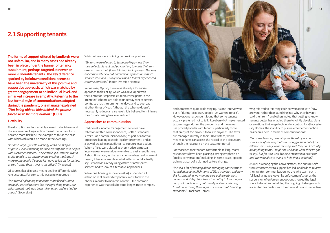

**The forms of support offered by landlords were not unfamiliar, and in many cases had already been in place under the banner of tenancy sustainment, perhaps targeted at newer or more vulnerable tenants. The key difference sparked by lockdown conditions seems to have been the universality of this positive and supportive approach, which was matched by greater engagement at an individual level, and a marked increase in empathy. Referring to the less formal style of communications adopted during the pandemic, one manager explained**  *"Not being able to hide behind the process forced us to be more human."* **(GCH)**

#### **Flexibility**

The disruption and uncertainty caused by lockdown and the suspension of legal action meant that all landlords became more flexible. One example of this is the ease with which calls could be made in the evenings:

*"In some ways, [flexible working] was a blessing in disguise. Flexible working has helped staff and also helped with customer services. For example, if customers would prefer to talk to an adviser in the evening that's much more manageable if people just have to log on for an hour or two [rather than travel to an office]."* (Magenta)

Of course, flexibility also meant dealing differently with rent accounts. For some, this was a new approach:

*"We weren't planning to become more flexible, but it suddenly started to seem like the right thing to do…our enforcement tools had been taken away and we had to adapt."* (Sovereign)

## **2.1 Supporting tenants**

and sometimes quite wide ranging. As one interviewee put it: "during lockdown, people just wanted to talk". However, one respondent found that some tenants actually preferred not to talk. Roseberry HA implemented text messages during the pandemic and the move has proved popular with tenants, particularly those that are "just too anxious to talk to anyone". The texts are managed directly in their CRM system, which means tenants can access the record of the discussion through their account on the customer portal.

For those tenants that are comfortable talking, many respondents have been placing a strong emphasis on 'quality conversations' including, in some cases, specific training as part of a planned culture change.

*"We did a lot of training about managing conversations (provided by Janet Richmond of Libra training), and now this is something we manage very actively [for both content and style]. Prior to each monthly 1:1, managers carry out a selection of call quality reviews - listening to calls and rating them against expected call handling standards."* Stockport Homes

Whilst others were building on previous practice:

*"Tenants were allowed to temporarily pay less than their collectable rent and pay nothing towards their rent arrears… until their financial situation improved. This was not completely new but had previously been on a much smaller scale and usually only when a tenant experienced extreme hardship.*" (South Tyneside Homes)

In one case, Optivo, there was already a formalised approach to flexibility, which was developed with the Centre for Responsible Credit. Participants in the '**RentFlex**' scheme are able to underpay rent at certain points, such as the summer holidays, and to overpay at other times of year. Although the scheme doesn't necessarily reduce arrears levels, it is believed to minimise the cost of chasing low levels of debt.

#### **Approaches to communication**

Traditionally income management services have relied on written correspondence, - often 'standard letters' - as a communication tool; as part of a formal procedure leading towards legal enforcement; and as a way of creating an audit trail to support legal action. When offices were closed at short notice, almost all interviewees were suddenly unable to easily send letters. A short time later, as the restrictions on legal enforcement began, it became less clear what letters should actually say. Even those already using offsite print/dispatch services had to look at alternative approaches.

While one housing association (HA) suspended all action on rent arrears temporarily, most took to the phones in order to maintain contact. One common experience was that calls became longer, more complex,

whg referred to "starting each conversation with 'how are you,' rather than launching into why they haven't paid their rent", and others noted that getting to know tenants better has enabled them to jointly develop plans or solutions that keep debts under control. For Gloucester City Homes, the inability to pursue enforcement action has been a help in terms of communications:

*"For some tenants, removing the threat of eviction took some of the confrontation or aggression out of the relationships. They were thinking 'well they can't actually do anything to me, I might as well hear what they've got to say', but for us it was 'we never wanted to evict you, and we were always trying to help find a solution'."*

As well as changing the conversations, the culture shift from enforcement to support has led landlords to review their written communication. As the whg team put it: "all legal language looks like enforcement". Just as the suspension of enforcement options showed the legal route to be often unhelpful, the ongoing challenges with access to the courts mean it remains slow and ineffective.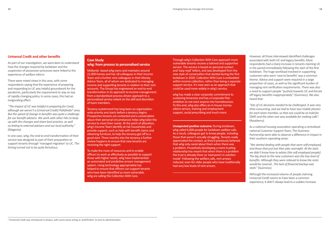#### **Universal Credit and other benefits**

As part of our investigation, we were keen to understand how the changes required by lockdown and the suspension of possession processes were linked to the experience of welfare reform.

There were mixed views in this area, with some respondents saying that the experience of preparing and responding to UC was helpful groundwork for the pandemic, particularly the requirement to stay on top of rapidly changing policy. In some cases, this had an invigorating effect:

*"The impact of UC was helpful in preparing for Covid, although we weren't a [Universal Credit] Pathfinder<sup>4</sup> area. But the speed of change in benefits was quite a challenge for our benefit advisers. We work with other HAs to keep up with the changes and share best practice, as well as linking to external advisers and our local authority."*  (Magenta)

In one case, whg, the end-to-end transformation of their service was designed as part of their preparation to support tenants through 'managed migration' to UC. The timing turned out to be quite fortuitous.

However, all those interviewed identified challenges associated with both UC and legacy benefits. Most respondents had a sharp increase in tenants claiming UC in the period immediately following the start of the first lockdown. The huge workload involved in supporting customers who were 'new to benefits' was a common theme. Advice and support were required in a large proportion of cases, as well as the significant burden of managing rent verification requirements. There was also a need to support people "pushed towards UC and forced off legacy benefits inappropriately" (Guinness). We also heard that:

*"lots of UC decisions needed to be challenged. It was very time-consuming, and we had to have two mobile phones for each team member, so that one could be on hold for DWP, and the other one was available for making calls".*  (Roseberry)

As a national housing association operating a centralised national Customer Support Team, The Guinness Partnership were able to observe a difference in impact in their southern operating areas:

*"We started dealing with people that were self-employed, and those that just lost their jobs overnight. At the start, we didn't know how to advise [the self-employed people]. The big shock to the new customers was the low level of benefits. Although they were relieved to know the rents would be covered…The lack of financial backup was stark."* (Guinness)

Although the increased volume of people claiming Universal Credit seems to have been a common experience, it didn't always lead to a sudden increase

#### **Case Study whg: from process to personalised service**

Midlands -based whg owns and maintains around 21,000 homes and has 18 colleagues in their Income Team and a further nine colleagues in their Money Advice Team, all of whom are dedicated to managing income and supporting tenants in relation to their rent accounts. The Group has engineered an end-to-end transformation in its approach to income management: from a standardised process-driven approach to a personalised service reliant on the skill and discretion of team members.

Tenancy sustainment has long been an organisationwide priority and starts before a tenancy begins. Prospective tenants are contacted and a conversation about their personal circumstances helps whg tailor the service to meet their needs. At the point of allocation, whg's Income Team identify at-risk households and provide support, such as help with benefit claims and obtaining furniture, to help the tenancy get off to a good start. Three months into the tenancy a further review happens to ensure that new tenants are receiving the right support.

To make the most of resources and to enable officers to work as effectively as possible to support those with higher needs, whg have implemented an automated and predictive arrears management system. Using technology appropriately has helped to ensure that officers can support tenants who have been identified as more vulnerable. whg are calling this Collection With Care.

Through whg's Collection With Care approach more vulnerable tenants receive a tailored and supportive service. The service is based on personal contact and 'easy read' letters, and was developed from the new style of conversation that started during the first lockdown in 2020. Collection With Care is embedded within income collection, rather than being a separate support service. It's now seen as an approach that could be used more widely in whg's service.

whg has made a clear corporate commitment to sustaining tenancies and has a Corporate Plan ambition to not evict anyone into homelessness. To this end, whg also offers an in-house money advice service, training and employment support, social prescribing and much more.

**Unexpected positive outcome:** During lockdown, whg called 6,000 people for lockdown welfare calls. As a result, colleagues got to know people, including those that weren't actually struggling. Tenants really appreciated the contact, as they'd previously believed that whg only cared about them when there was a problem. Proactively developing a more trusting relationship has meant that when there is a problem the trust is already there so 'everyone's in solution mode'. Following the welfare calls, rent arrears reduced, even for older people who have traditionally had very low levels of rent arrears.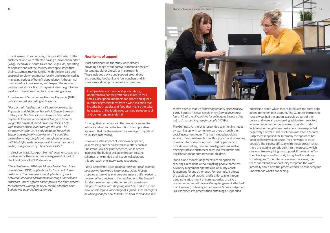

in rent arrears. In some cases, this was attributed to the customers who were affected having a 'payment mindset' (whg). Meanwhile, South Lakes and Teign HAs, operating at opposite ends of the country, both speculated that their customers may be familiar with the low-paid and seasonal employment market locally, and experienced at managing periods of benefit dependency. Although not mentioned by interviewees, we'd expect the reduced waiting period for a first UC payment - from eight to five weeks – to have been helpful in minimising arrears.

Experiences of Discretionary Housing Payments (DHPs) was also mixed. According to Magenta:

*"For our main local authority, Discretionary Housing Payments and Additional Household Support are both underspent. The Council tends to make backdated payments towards year end, which is good because we get the payment, but it obviously doesn't help with people's stress levels through the year. The arrangements for DHPs and Additional Household Support are definitely a barrier, and it's good that we're able to help people get through the process… with hindsight, we'd have made links with the council earlier, and got more of a handle on DHPs."*

In direct contrast, Stockport Homes' experience was very positive, since they took over management of part of Stockport Council's DHP allocation:

*"Since September 2020, the Money Advice Team have administered [DHP] applications for Stockport Homes customers. This removed some duplication of work between [Stockport Metropolitan Borough Council] and Stockport Homes officers and improved the claim process for customers. During 2020/21, the full allocated DHP budget was awarded to customers."*

#### **New forms of support**

Most participants in the study were already providing a range of supportive 'additional services' for tenants, either directly or in partnership. These included advice and support around debt and benefits, foodbank and fuel vouchers and, in some cases, direct provision of food pantries.

For whg, their experience in the pandemic served to validate and reinforce the transition to a supportive approach that had been driven by 'managed migration' to UC (see case study).

However, as the impact of lockdown deepened, an increasing number initiated new offers, such as Christmas Boxes or grant schemes, while others increased the budget available through existing schemes, or extended their scope. Asked about this approach, one interviewee responded:

*"We'd decided we were going to reach out to all tenants, because we knew we'd become less visible [due to stopping estate visits and drop-in sessions]. We needed to have an offer attached to the reaching out. The Support Fund is a percentage of the community investment budget. It started with shopping vouchers and so on, but now we use it for a wide range of support, such as carpets or white goods for new tenants. It's hard to evidence, but* 

*partly because it keeps people away from high interest loans. It's also really positive for colleagues because they get to do something nice for people."* (LYHA)

the subject's credit rating, and is enforceable through a separate attachment of earnings order. Usually, a possession order will have a Money Judgement attached to it. However, obtaining a stand-alone Money Judgement is a less expensive process than obtaining a suspended

*there's a sense that it's improving tenancy sustainability,*  The Guinness Partnership responded to emerging needs by teaming up with some new partners through their social investment team. This has included providing access to 'low level mental health support', and increasing donations to Domestic Abuse – used by partners to provide counselling, care and small grants - as well as offering staff and customers access to free maths and English tuition for primary school children. Stand-alone Money Judgements are an option for securing a rent debt without making people homeless. A Money Judgement operates like a County Court Judgement for any other debt. For example, it affects possession order, which means it reduces the extra debt added to the tenant's account. The Guinness Partnership have always had the option available as part of their policy, and were already seeking advice from solicitors when enforcement options were suspended under lockdown. Although some customers have responded negatively, there's a 30% resolution rate after a Money Judgement is applied for. Internally the approach has been well received, because "no-one wants to evict people". The biggest difficulty with the approach is that there are waiting periods built into the process, which can look like everything has stopped. If the Income Team then has to proceed to court, it may feel like a delay to colleagues. To counter any internal concerns, the team has taken the opportunity to 'spread the word' internally about how the process works, so that everyone understands what's happening.

Food pantries are membership food shops, operated on a not-for-profit basis. In return for a small subscription, members can choose an agreed number of grocery items from a wide selection that includes both staples and food that might otherwise be wasted. Unlike foodbanks, pantries are open to all and do not require a referral.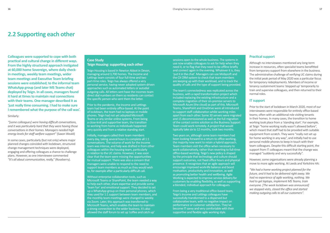**Colleagues were supported to cope with both practical and cultural change in different ways. From the highly structured approach instigated at 60,000 home Sovereign, where daily checkin meetings, weekly team meetings, wider team meetings and Executive Team briefing sessions were established; to the informal team WhatsApp group (and later MS Teams chat) deployed by Teign. In all cases, managers found it hard at times to maintain real connections with their teams. One manager described it as 'just really time consuming. I had to make sure I remembered what the purpose of the call was'.** 

#### Similarly:

*"[some colleagues] were having difficult conversations, and it was particularly hard that they were having those conversations in their homes. Managers needed high energy levels for staff welfare support"* (Saxon Weald)

In some cases, particularly (but not only) where major planned changes coincided with lockdown, structured change management techniques were deployed, engaging and offering colleagues a chance to challenge plans. However, as one interviewee commented *"It's all about communication, really,"* (Roseberry).

### **2.2 Supporting each other**

#### **Case Study Teign Housing: supporting each other**

Teign Housing is based in Newton Abbot in Devon, managing around 3,700 homes. The Income and Lettings team consists of four full-time and two part-time roles. Teign has always offered a very personal service, having never adopted system-driven approaches such as automated letters or autodial outgoing calls. All letters sent have the incomes team direct dial numbers on them so residents can contact the specific person who sent them the letter.

Prior to the pandemic, the Income and Lettings team had been entirely office-based. At the point of lockdown, the team had no laptops or mobile phones. Teign had not yet adopted Microsoft Teams or any similar online systems. From being a close-knit and supportive team, the transition to working from home as individuals happened very quickly and from a relative standing start.

Initially, managers called their team members every day, taking several hours to complete all 1:1 conversations. The volume of work for the Income team was intense, and help was drafted in from other colleagues within the housing team, particularly in relation to the UC claims. However, it was soon clear that the team were missing the opportunities for mutual support. There was also a concern that managers were unable to respond to the need to support team members as much as they would wish to, for example after a particularly difficult call.

Without enterprise collaboration tools, such as Microsoft Teams or SharePoint, the team needed a way to help each other, share expertise and provide some 'team fun' and emotional support. They decided to set up a WhatsApp group on their personal phones, which they used for 1:1 support between team members, and the monthly team meetings were changed to weekly via Zoom. Later, this approach was transferred to Microsoft Teams, which enables the team to maintain a strong connection to the wider business. It's also allowed the staff forum to set up 'coffee and catch up'

sessions open to the whole business. The systems in use now enable colleagues to ask for help when they need it, or to flag that they need to be offline briefly and connect again in the evening. Whatever it is, they 'put it in the chat'. Managers can use Mobysoft and the CX CRM system to check that team members are keeping up with their workload, and to track the quality of calls and the type of support being provided.

The team's connectedness was replicated across the business, with a rapid transformation project which included replacing the existing infrastructure and a complete migration of their on-premise servers to Microsoft Azure (the cloud) as part of this. Microsoft Teams, SharePoint and OneDrive were all introduced to support staff collaboration whilst working miles apart from each other. Some 30 servers were migrated and 15 decommissioned as well as the full migration of the contact centre solution so the Business Support Team could work remotely. A project that would typically take six to 12 months, took two months.

Two years on, although some team members had been looking forward to a return to office working, the majority now want to retain a hybrid approach. Team members visit the office when necessary to work collaboratively, rather than reverting to full-time office-based working. Teign's new policy is shaped by the principle that technology and culture should support outcomes, not fixed office hours and physical presence. It recognises that an agile approach will encourage improved work-life balance and boost motivation, productivity and innovation, as well as promoting better health and wellbeing. Agile Working is expected to improve service delivery for customers by enabling flexibility, as well as supporting a blended, individual approach for colleagues.

From being a very traditional office-based team, Teign's Income and Lettings colleagues have successfully transformed to a dispersed but collaborative team, with no negative impact on performance or customer satisfaction. They've become IT savvy and very comfortable with their supportive and flexible agile working style.

#### **Practical support**

Although no interviewees mentioned any long-term increase in resources, often specialist teams benefitted from temporary support from elsewhere in the business. The administrative challenge of verifying UC claims during the initial peak period of May 2020 was a particular focus for temporary redeployments. Members of income or tenancy sustainment teams 'stepped up' temporarily to train and supervise colleagues, and then returned to their normal roles.

#### **IT support**

Prior to the start of lockdown in March 2020, most of our interviewees were responsible for entirely office-based teams; often with an additional role visiting tenants in their homes. In many cases, the transition to home working took place from a 'standing start'. For example, at Teign "home working really wasn't allowed before", which meant that staff had to be provided with suitable equipment from scratch. They were "really not set up for home working in any way", and initially had to use personal mobile phones to keep in touch with their team colleagues. Despite this difficult starting point, the support from IT colleagues meant that the change was managed "suddenly and very successfully".

However, some organisations were already planning a move to more agile working. At Leeds and Yorkshire HA:

*"We had a home working project planned for the future, and it had to be delivered right away. We had no experience of agile working, nothing. We had to get laptops, implement MS Teams, train everyone. [The week lockdown was announced] we stopped visits, closed the office and started making outgoing calls to all our customers".*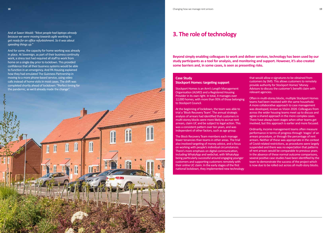And at Saxon Weald: *"Most people had laptops already because we were moving towards agile working to get ready for an office refurbishment. So it was about speeding things up."*

And for some, the capacity for home working was already in place. At Sovereign, as part of their business continuity work, a stress test had required all staff to work from home on a single day prior to lockdown. This provided confidence that all their business systems would be able to function in an emergency. And PA Housing explained how they had emulated The Guinness Partnership in moving to a more phone-based service, using video calls instead of home visits in most cases. The shift was completed shortly ahead of lockdown: "Perfect timing for the pandemic, as we'd already made the change".

**Beyond simply enabling colleagues to work and deliver services, technology has been used by our study participants as a tool for analysis, and monitoring and support. However, it's also created some barriers and, in some cases, is seen as presenting risks.**

### **3. The role of technology**

#### **Case Study Stockport Homes: targeting support**

Stockport Homes is an Arm's Length Management Organisation (ALMO) and a Registered Housing Provider in its own right. In total, it manages over 12,000 homes, with more than 95% of those belonging to Stockport Council.

At the beginning of lockdown, the team was able to trial a 'Block Recovery Team'. The annual strategic analysis of arrears had identified that customers in multi-storey blocks were more likely to accrue rent arrears, claim UC and be subject to legal action. This was a consistent pattern over ten years, and was independent of other factors, such as age group.

The Block Recovery Team members each manage fewer tenancies than teams in other areas. The trial also involved targeting of money advice, and a focus on working with people's individual circumstances. There's more emphasis on digital communication, including WhatsApp and webchat, with WhatsApp being particularly successful around engaging younger customers and supporting customers remotely with their online UC claim. In the early stages of the first national lockdown, they implemented new technology that would allow e-signatures to be obtained from customers by SMS. This allows customers to remotely provide authority for Stockport Homes' Money Advisors to discuss the customer's benefit claim with relevant agencies.

Often in multi-storey blocks, multiple Stockport Homes teams had been involved with the same household. A more collaborative approach to case management was developed, known as Vision 2020. Colleagues from across the wider housing teams meet up to discuss and agree a shared approach in the more complex cases. There have always been stages when other teams get involved, but this approach is earlier and more focused.

Ordinarily, income management teams often measure performance in terms of progress through 'stages' of an arrears procedure, or through the percentage of rent arrears. Neither of these was appropriate in the context of Covid-related restrictions, as procedures were largely suspended and there was no expectation that patterns of rent arrears would be comparable to previous years. In the absence of these normal outcome comparisons, several positive case studies have been identified by the team to demonstrate the success of the project which is now due to be rolled out across all multi-story blocks.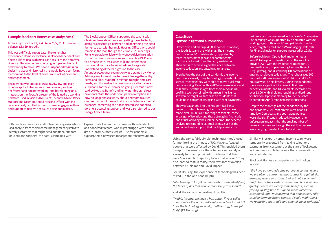#### **Example Stockport Homes case study: Mrs C**

Arrears high point of £1,354.66 on 21/2/21. Current rent balance: £63.59 in credit

This was a difficult arrears case. The tenant has experienced domestic violence, is alcohol dependant and doesn't like to deal with males as a result of the domestic violence. She was under-occupying, not paying her rent and wanting to move. We have a Suspended Possession Order in place and historically she would have been facing eviction due to the level of arrears and lack of payment and engagement.

Engagement was sporadic, trust in SHG low and each time we spoke to her more issues came up, such as her freezer and hob not working, and her sleeping on a mattress on the floor. As a result of the joined-up working practices used in Vision 2020, Rents, Money Advice, Block Support and Neighbourhood Housing Officer working collaboratively resulted in the customer engaging with us and support to resolve her issues being put in place.

This was expanded into the Resident Resilience project, in which teams right across the business made over 80,000 calls toa range of tenants, those in danger of isolation and those struggling financially and at risk of losing their job or income. The scheme evolved to respond to external events, such as the end of furlough support, that could present a risk to

Both Leeds and Yorkshire and Optivo housing associations used analysis from their income management systems to identify customers that might need additional support. For Leeds and Yorkshire, the data is combined with

Experian data to identify customers with wider debts or a poor credit record, who might struggle with a small drop in income. After successful use for pandemic support, this is now used to target pre-tenancy support.

#### **Case Study Optivo: insight and automation**

Optivo own and manage 45,000 homes in London, the South East and the Midlands. Their Income team includes 40 front-line staff, supported by team leaders, managers and separate teams for financial inclusion and tenancy sustainment. Their aim is to achieve a good balance between income collection and sustaining tenancies.

Even before the start of the pandemic the Income team were already using technology throughout their service, meaning they were able to move quickly to home working. Faced with an 80% increase in inbound calls, they used the insight from their in-house risk profiling tool, combined with arrears intelligence software to target welfare calls on residents that could be in danger of struggling with rent payments.

residents, and was renamed as the 'We Can' campaign. The campaign was supported by a dedicated website landing page, both 'organic' and paid social media, video, targeted email and SMS messaging. Referrals for Financial Inclusion support increased by 108%.

Before lockdown, Optivo had implemented a 'robot', to help with benefit claims. The robot can provide DWP with the evidence required for UC rent verification; implementing Housing Benefit (HB) uprating, and distributing HB notifications or queries to relevant colleagues. The robot saves 600 hours of staff time a year on UC claims, and  $5 - 6$ hours a week on HB letters. During the pandemic, there was a significant increase in first time benefit claimants, and UC claimants increased by over 1,800, with all claims requiring landlord rent verification. Optivo is planning to use the robot to complete April's rent increase verifications.

Despite the challenges of the pandemic, by the end of March 2021, rent arrears were at an alltime low. Court costs and court appearances were also significantly reduced. However, one unforeseen impact is that the small number of tenants that now go through the eviction process leave very high levels of debt behind them.

The Block Support Officer supported the tenant with obtaining bank statements and getting these to Rents, acting as a trusted go-between and minimising the need for her to deal with her male Housing Officer, who could remain in the loop though the Vision 2020 meetings. Rents were able to liaise with Money Advice in relation to the customer's circumstances to enable a DHP award to be made with less evidence (bank statements) than would normally be required due to a greater understanding of the background to the case. An under-occupancy exemption was obtained by Money Advice going forward due to the evidence gathered by Rents and Block Support in relation to night-time care needs, and this makes the tenancy more affordable and sustainable for the customer on-going. Her rent is now paid by Housing Benefit and her water through direct payments. With the under-occupancy exemption she now no longer has to worry about bedroom tax. Her clear rent account means that she is able to do a mutual exchange, something she had indicated she hoped to do. She is accessing support and was also referred to our Energy Advice Team.

> Using the same, fairly simple, techniques they'd used for monitoring the impact of UC, Magenta 'tagged' people that were affected by Covid. This enabled them to report the arrears for these tenants separately on a weekly basis and provided confidence that they were "on a similar trajectory to 'normal' arrears". They also learned that, in realty, there was lots of overlap between UC claims and Covid impact.

> For PA Housing, the experience of technology has been mixed. On the one hand helpful

> *about rents – like a mini call centre – and we just didn't have the technology to send [frontline staff] home [at first]"* (PA Housing).

Similarly, Stockport Homes' Income team were temporarily prevented from taking telephone payments from customers at the start of lockdown, as it was impossible to be sure that conversations were confidential.

*"AI is helping to target communication – like identifying the times of day that people more likely to respond."*  and at the same time creating difficulties: *"Within Income, we have a hub option if your call is "We have automated some outbound contact where we are able to guarantee that contact is required. For example, where a customer's direct debit payment has failed, or their water consumption has increased quickly…There are clearly some benefits [such as freeing up staff time to support more vulnerable customers], but I'm concerned that unnecessary calls could undermine future contact. People might think we're making spam calls and stop taking us seriously."*

Stockport Homes also experienced technology as a risk.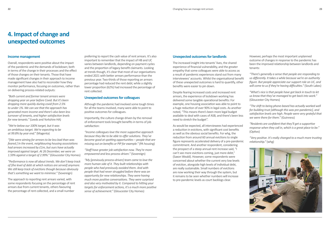#### **Income management**

Overall, respondents were positive about the impact of the pandemic and the demands of lockdown; both in terms of the change in their processes and the effect of those changes on their tenants. Those that have made significant changes in their approach to income management have also had to reconsider how they monitor performance, focusing on outcomes, rather than on delivering process-related outputs:

*"Both current and former tenant arrears were dropping year on year before Covid. But it's been dropping more quickly during covid from 2.5% to under 1%. We can see that the approach has generated more income and there's also been less turnover of tenants, and higher satisfaction levels for new tenants."* (Leeds and Yorkshire HA)

*"We're below our 100% target, but it was an ambitious target. We're expecting to be at 99.8% by year end."* (Magenta)

*"[We were aiming for arrears to be less bad than was feared.] In the event, neighbouring housing associations had arrears increased by £1m, but ours have actually improved against target. At 26 December, we were on 1.59% against a target of 2.99%."* (Gloucester City Homes)

*"Performance is now all about trends. We don't keep track of [the level of debt at which notices are served] anymore. We still keep track of evictions though because obviously that's something we want to minimise."* (Sovereign)

The approach to reporting rent arrears varied, with some respondents focusing on the percentage of rent arrears due from current tenants, others favouring the percentage of rent collected, and a small number

preferring to report the cash value of rent arrears. It's also important to remember that the impact of HB and UC varies between landlords, depending on payment cycles and the proportion of legacy benefit claimants. Looking at trends though, it's clear that most of our organisations ended 2021 with better arrears performance than the previous year. Two-thirds of those reporting an arrears percentage had reduced the rent debt; while a slightly lower proportion (62%) had increased the percentage of rent collected.

#### **Unexpected outcomes for colleagues**

Although the pandemic had involved some tough times for all the teams involved, many were able to point to positive outcomes for colleagues.

Importantly, the culture change driven by the removal of enforcement tools brought benefits in terms of job satisfaction:

*"Income colleagues love the more supportive approach because they like to be able to offer solutions. They've become good at spotting opportunities – people that are missing out on benefits or PIP for example."* (PA housing)

*"Staff have greater job satisfaction now. They're more empowered and less process driven."* (Sovereign)

*"My [previously process-driven] team came to love the more human side of it. They built relationships with people who had previously avoided them. And with people that had never struggled before there was an opportunity for new relationships. They were having much more positive conversations. They were surprised and also very motivated by it. Compared to hitting your targets for enforcement actions, it's a much more positive sense of achievement."* (Gloucester City Homes)

## **4. Impact of change and unexpected outcomes**

#### **Unexpected outcomes for landlords**

The increased insight into tenants' lives, the shared experience of financial vulnerability, and the greater empathy that some colleagues were able to access as a result of pandemic experiences stand out from many interviewees' accounts. Whilst the organisational benefit of these unexpected outcomes is hard to quantify, other benefits were easier to pin down.

Despite fearing increased costs and increased rent arrears, the experience of lockdown working has delivered some tangible operational benefits: For example, one housing association was able to point to a huge reduction of over 90% in legal costs. As another noted, "This means there's been more legal budget available to deal with cases of ASB, and there's been less need to stretch the budget".

As would be expected, all interviewees had experienced a reduction in evictions, with significant cost benefits as well as the obvious social benefits. For whg, the reduction from around 60 annual evictions to single figure represents accelerated delivery of a pre-pandemic commitment. And another respondent, considering the prospect of a steep annual rent increase said, "I can't see more evictions coming, just more debt," (Saxon Weald). However, some respondents were concerned about whether the current very low levels of eviction, alongside high levels of individual debt, are really sustainable. Small numbers of evictions are now working their way through the system, but it remains to be seen whether numbers will increase to pre-pandemic levels as court backlogs clear.

However, perhaps the most important unplanned outcome of changes in response to the pandemic has been the improved relationship between landlords and tenants:

*"There's generally a sense that people are responding to us differently. It takes a while because we're an authority figure. But people appreciate our support role on UC, and will come to us if they're having difficulties."* (South Lakes)

*"What's nice is that people have got back in touch to let us know that they've managed to get back into work."* (Gloucester City Homes)

*"The shift to being phone-based has actually worked well for building trust [although this was pre-pandemic], and satisfaction levels are high. People were very grateful that we were there for them."* (Guinness)

*"Residents are confident that they'll get a supportive response when they call in, which is a great place to be."*  (Optivo)

*"Very positive. It's really changed to a much more trusting relationship."* (whg)

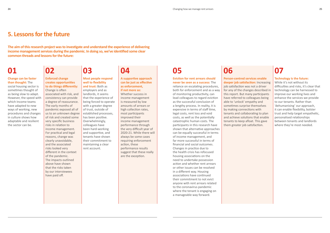## **01**

#### **Change can be faster than thought:** The

social housing sector is sometimes thought of as being slow to adapt. However, the speed with which Income teams have adapted to new ways of working, new procedures and changes in culture shows how adaptable and resilient the sector can be.

## **02**

#### **Enforced change creates opportunities to do things differently:**  Change is often associated with risk, and consistency can provide a degree of reassurance.

The early months of pandemic exposed all of us to an unknown degree of risk and created some very specific business risks in relation to income management. For practical and legal reasons, change was clearly unavoidable, and the associated risks looked very different in the context of the pandemic. The impacts outlined above have shown that the risks taken by our interviewees have paid off.

**03**

### **Most people respond well to flexibility**

**and trust:** Both as employers and as landlords, it seems that the experience of being forced to operate with a greater degree of trust, outside of established processes, has been positive. Overwhelmingly, colleagues have been hard-working and supportive, and tenants have shown their commitment to maintaining a clear rent account.

## **04**

**A supportive approach can be just as effective as enforcement, if not more so:**  Whether success in

income management is measured by low amounts of arrears or high collection rates, most participants improved their income management performance through the very difficult year of 2020-21. While there will always be some cases requiring enforcement action, these performance results suggest that these really are the exception.

## **05**

**Eviction for rent arrears should never be seen as a success:** The reliance on escalating procedures, both for enforcement and as a way of monitoring productivity, can lead colleagues to regard eviction as the successful conclusion of a lengthy process. In reality, it is expensive in terms of staff time, legal costs, rent loss and void costs, as well as the potentially catastrophic human costs. The participants in this research have shown that alternative approaches can be equally successful in terms of income management, and far more successful in terms of financial and social outcomes. Changes in practice due to the health crisis has refocused housing associations on the need to undertake possession action and whether rent arrears or other issues can be resolved in a different way. Housing associations have continued their commitment to not evict anyone with rent arrears related to the coronavirus pandemic where the tenant is engaging on a manageable way forward.

## **06**

**Person-centred services enable deeper job satisfaction:** Increasing job satisfaction was not a driver for any of the changes described in this report. But many participants have referred to colleagues being able to 'unlock' empathy and sometimes surprise themselves by making connections with tenants and collaborating to plan and achieve solutions that enable tenants to keep afloat. This gave them greater job satisfaction.

## **07**

#### **Technology is the future:**

While it's not without its difficulties and risks, it's clear that technology can be harnessed to improve our working lives and enhance the services we provide to our tenants. Rather than 'dehumanising' our approach, it can enable flexibility, bolster trust and help target empathetic, personalised relationships between tenants and landlords where they're most needed.

### **5. Lessons for the future**

**The aim of this research project was to investigate and understand the experience of delivering income management services during the pandemic. In doing so, we've identified some clear common threads and lessons for the future:**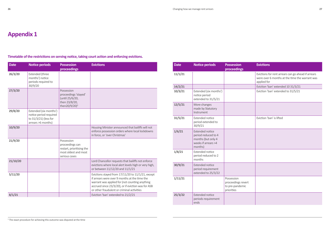## **Appendix 1**

**Timetable of the restrictions on serving notice, taking court action and enforcing evictions.** 

| <b>Date</b> | <b>Notice periods</b>                                                                           | <b>Possession</b><br>proceedings                                                                    | <b>Evictions</b>                                                                                                                                                                                                                                         |
|-------------|-------------------------------------------------------------------------------------------------|-----------------------------------------------------------------------------------------------------|----------------------------------------------------------------------------------------------------------------------------------------------------------------------------------------------------------------------------------------------------------|
| 26/3/20     | <b>Extended</b> (three<br>months') notice<br>periods required to<br>30/9/20                     |                                                                                                     |                                                                                                                                                                                                                                                          |
| 27/3/20     |                                                                                                 | Possession<br>proceedings 'stayed'<br>(until 25/6/20,<br>then 23/8/20,<br>then20/9/20) <sup>5</sup> |                                                                                                                                                                                                                                                          |
| 29/8/20     | Extended (six months')<br>notice period required<br>to 31/3/21) (less for<br>arrears >6 months) |                                                                                                     |                                                                                                                                                                                                                                                          |
| 10/9/20     |                                                                                                 |                                                                                                     | Housing Minister announced that bailiffs will not<br>enforce possession orders where local lockdowns<br>in force, or 'over Christmas'                                                                                                                    |
| 21/9/20     |                                                                                                 | Possession<br>proceedings can<br>restart, prioritising the<br>most oldest and most<br>serious cases |                                                                                                                                                                                                                                                          |
| 21/10/20    |                                                                                                 |                                                                                                     | Lord Chancellor requests that bailiffs not enforce<br>evictions where local alert levels high or very high,<br>or between 11/12/20 and 11/1/21                                                                                                           |
| 5/11/20     |                                                                                                 |                                                                                                     | Evictions stayed from 17/11/20 to 11/1/21, except<br>if arrears were over 9 months at the time the<br>warrant was applied for (not counting anything<br>accrued since 23/3/20), or if eviction was for ASB<br>or other fraudulent or criminal activities |
| 8/1/21      |                                                                                                 |                                                                                                     | Eviction 'ban' extended to 21/2/21                                                                                                                                                                                                                       |

| <b>Evictions</b>                                                                                                    |
|---------------------------------------------------------------------------------------------------------------------|
| Evictions for rent arrears can go ahead if arrears<br>were over 6 months at the time the warrant was<br>applied for |
| Eviction 'ban' extended 10 31/3/21                                                                                  |
| Eviction 'ban' extended to 31/5/21                                                                                  |
|                                                                                                                     |
| Eviction 'ban' is lifted                                                                                            |
|                                                                                                                     |
|                                                                                                                     |
|                                                                                                                     |
|                                                                                                                     |
|                                                                                                                     |

| <b>Date</b> | <b>Notice periods</b>                                                                                 | <b>Possession</b><br>proceedings                                  | <b>Evictions</b>                                                                                                    |
|-------------|-------------------------------------------------------------------------------------------------------|-------------------------------------------------------------------|---------------------------------------------------------------------------------------------------------------------|
| 11/1/21     |                                                                                                       |                                                                   | Evictions for rent arrears can go ahead if arrears<br>were over 6 months at the time the warrant was<br>applied for |
| 14/2/21     |                                                                                                       |                                                                   | Eviction 'ban' extended 10 31/3/21                                                                                  |
| 10/3/21     | Extended (six months')<br>notice period<br>extended to 31/5/21                                        |                                                                   | Eviction 'ban' extended to 31/5/21                                                                                  |
| 12/5/21     | More changes<br>made by Statutory<br>Instrument                                                       |                                                                   |                                                                                                                     |
| 31/5/21     | <b>Extended notice</b><br>period extended to<br>30/9/21                                               |                                                                   | Eviction 'ban' is lifted                                                                                            |
| 1/6/21      | <b>Extended notice</b><br>period reduced to 4<br>months (but only 4<br>weeks if arrears >4<br>months) |                                                                   |                                                                                                                     |
| 1/8/21      | <b>Extended notice</b><br>period reduced to 2<br>months                                               |                                                                   |                                                                                                                     |
| 30/9/21     | <b>Extended notice</b><br>period requirement<br>extended to 25/3/22                                   |                                                                   |                                                                                                                     |
| 1/11/21     |                                                                                                       | Possession<br>proceedings revert<br>to pre-pandemic<br>priorities |                                                                                                                     |
| 25/3/22     | <b>Extended notice</b><br>periods requirement<br>ends                                                 |                                                                   |                                                                                                                     |